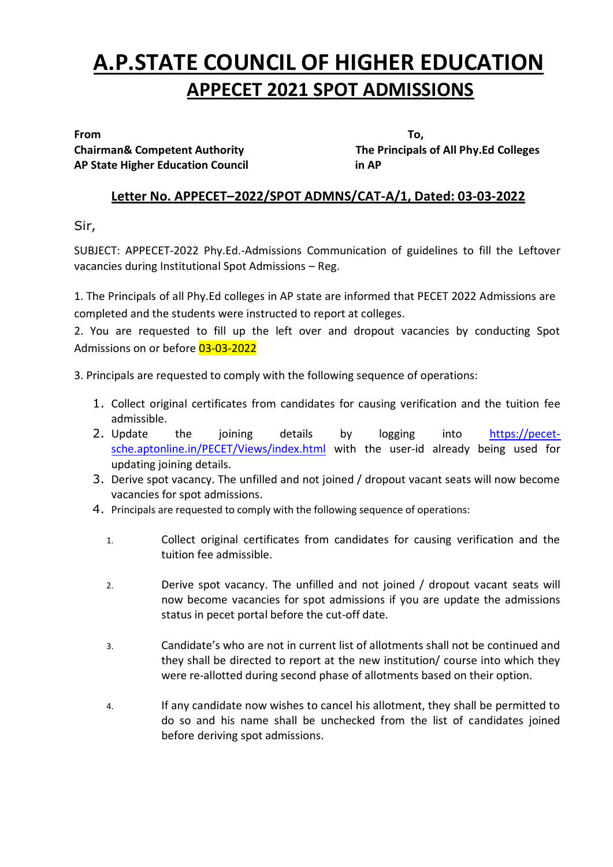# **A.P.STATE COUNCIL OF HIGHER EDUCATION APPECET 2021 SPOT ADMISSIONS**

**AP State Higher Education Council in AP**

**From To, Chairman& Competent Authority The Principals of All Phy.Ed Colleges** 

## **Letter No. APPECET–2022/SPOT ADMNS/CAT-A/1, Dated: 03-03-2022**

Sir,

SUBJECT: APPECET-2022 Phy.Ed.-Admissions Communication of guidelines to fill the Leftover vacancies during Institutional Spot Admissions – Reg.

1. The Principals of all Phy.Ed colleges in AP state are informed that PECET 2022 Admissions are completed and the students were instructed to report at colleges.

2. You are requested to fill up the left over and dropout vacancies by conducting Spot Admissions on or before 03-03-2022

3. Principals are requested to comply with the following sequence of operations:

- 1. Collect original certificates from candidates for causing verification and the tuition fee admissible.
- 2. Update the joining details by logging into [https://pecet](https://pecet-sche.aptonline.in/PECET/Views/index.html)[sche.aptonline.in/PECET/Views/index.html](https://pecet-sche.aptonline.in/PECET/Views/index.html) with the user-id already being used for updating joining details.
- 3. Derive spot vacancy. The unfilled and not joined / dropout vacant seats will now become vacancies for spot admissions.
- 4. Principals are requested to comply with the following sequence of operations:
	- 1. Collect original certificates from candidates for causing verification and the tuition fee admissible.
	- 2. Derive spot vacancy. The unfilled and not joined / dropout vacant seats will now become vacancies for spot admissions if you are update the admissions status in pecet portal before the cut-off date.
	- 3. Candidate's who are not in current list of allotments shall not be continued and they shall be directed to report at the new institution/ course into which they were re-allotted during second phase of allotments based on their option.
	- 4. If any candidate now wishes to cancel his allotment, they shall be permitted to do so and his name shall be unchecked from the list of candidates joined before deriving spot admissions.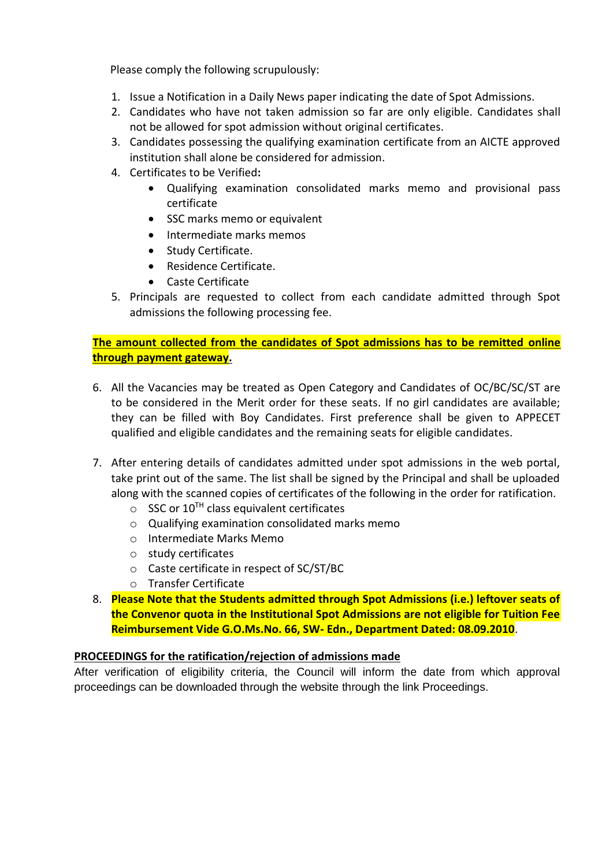Please comply the following scrupulously:

- 1. Issue a Notification in a Daily News paper indicating the date of Spot Admissions.
- 2. Candidates who have not taken admission so far are only eligible. Candidates shall not be allowed for spot admission without original certificates.
- 3. Candidates possessing the qualifying examination certificate from an AICTE approved institution shall alone be considered for admission.
- 4. Certificates to be Verified**:**
	- Qualifying examination consolidated marks memo and provisional pass certificate
	- SSC marks memo or equivalent
	- Intermediate marks memos
	- Study Certificate.
	- Residence Certificate.
	- Caste Certificate
- 5. Principals are requested to collect from each candidate admitted through Spot admissions the following processing fee.

#### **The amount collected from the candidates of Spot admissions has to be remitted online through payment gateway.**

- 6. All the Vacancies may be treated as Open Category and Candidates of OC/BC/SC/ST are to be considered in the Merit order for these seats. If no girl candidates are available; they can be filled with Boy Candidates. First preference shall be given to APPECET qualified and eligible candidates and the remaining seats for eligible candidates.
- 7. After entering details of candidates admitted under spot admissions in the web portal, take print out of the same. The list shall be signed by the Principal and shall be uploaded along with the scanned copies of certificates of the following in the order for ratification.
	- $\circ$  SSC or 10<sup>TH</sup> class equivalent certificates
	- o Qualifying examination consolidated marks memo
	- o Intermediate Marks Memo
	- o study certificates
	- o Caste certificate in respect of SC/ST/BC
	- o Transfer Certificate
- 8. **Please Note that the Students admitted through Spot Admissions (i.e.) leftover seats of the Convenor quota in the Institutional Spot Admissions are not eligible for Tuition Fee Reimbursement Vide G.O.Ms.No. 66, SW- Edn., Department Dated: 08.09.2010**.

#### **PROCEEDINGS for the ratification/rejection of admissions made**

After verification of eligibility criteria, the Council will inform the date from which approval proceedings can be downloaded through the website through the link Proceedings.